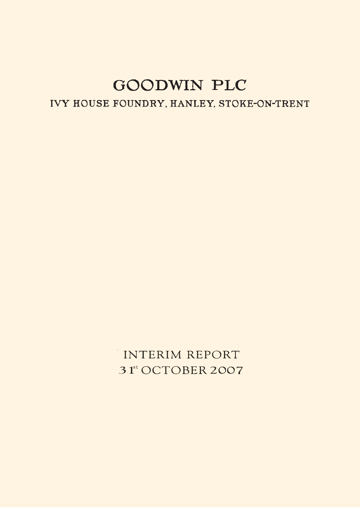IVY HOUSE FOUNDRY, HANLEY, STOKE-ON-TRENT

INTERIM REPORT 31<sup>st</sup> OCTOBER 2007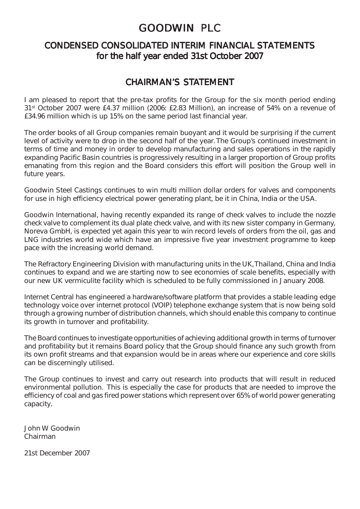### CONDENSED CONSOLIDATED INTERIM FINANCIAL STATEMENTS for the half year ended 31st October 2007

### CHAIRMAN'S STATEMENT

I am pleased to report that the pre-tax profits for the Group for the six month period ending 31st October 2007 were £4.37 million (2006: £2.83 Million), an increase of 54% on a revenue of £34.96 million which is up 15% on the same period last financial year.

The order books of all Group companies remain buoyant and it would be surprising if the current level of activity were to drop in the second half of the year. The Group's continued investment in terms of time and money in order to develop manufacturing and sales operations in the rapidly expanding Pacific Basin countries is progressively resulting in a larger proportion of Group profits emanating from this region and the Board considers this effort will position the Group well in future years.

Goodwin Steel Castings continues to win multi million dollar orders for valves and components for use in high efficiency electrical power generating plant, be it in China, India or the USA.

Goodwin International, having recently expanded its range of check valves to include the nozzle check valve to complement its dual plate check valve, and with its new sister company in Germany, Noreva GmbH, is expected yet again this year to win record levels of orders from the oil, gas and LNG industries world wide which have an impressive five year investment programme to keep pace with the increasing world demand.

The Refractory Engineering Division with manufacturing units in the UK, Thailand, China and India continues to expand and we are starting now to see economies of scale benefits, especially with our new UK vermiculite facility which is scheduled to be fully commissioned in January 2008.

Internet Central has engineered a hardware/software platform that provides a stable leading edge technology voice over internet protocol (VOIP) telephone exchange system that is now being sold through a growing number of distribution channels, which should enable this company to continue its growth in turnover and profitability.

The Board continues to investigate opportunities of achieving additional growth in terms of turnover and profitability but it remains Board policy that the Group should finance any such growth from its own profit streams and that expansion would be in areas where our experience and core skills can be discerningly utilised.

The Group continues to invest and carry out research into products that will result in reduced environmental pollution. This is especially the case for products that are needed to improve the efficiency of coal and gas fired power stations which represent over 65% of world power generating capacity.

John W Goodwin Chairman

21st December 2007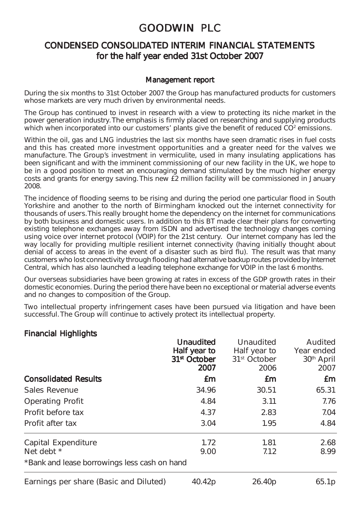### CONDENSED CONSOLIDATED INTERIM FINANCIAL STATEMENTS for the half year ended 31st October 2007

### Management report

During the six months to 31st October 2007 the Group has manufactured products for customers whose markets are very much driven by environmental needs.

The Group has continued to invest in research with a view to protecting its niche market in the power generation industry. The emphasis is firmly placed on researching and supplying products which when incorporated into our customers' plants give the benefit of reduced  $CO<sup>2</sup>$  emissions.

Within the oil, gas and LNG industries the last six months have seen dramatic rises in fuel costs and this has created more investment opportunities and a greater need for the valves we manufacture. The Group's investment in vermiculite, used in many insulating applications has been significant and with the imminent commissioning of our new facility in the UK, we hope to be in a good position to meet an encouraging demand stimulated by the much higher energy costs and grants for energy saving. This new £2 million facility will be commissioned in January 2008.

The incidence of flooding seems to be rising and during the period one particular flood in South Yorkshire and another to the north of Birmingham knocked out the internet connectivity for thousands of users. This really brought home the dependency on the internet for communications by both business and domestic users. In addition to this BT made clear their plans for converting existing telephone exchanges away from ISDN and advertised the technology changes coming using voice over internet protocol (VOIP) for the 21st century. Our internet company has led the way locally for providing multiple resilient internet connectivity (having initially thought about denial of access to areas in the event of a disaster such as bird flu). The result was that many customers who lost connectivity through flooding had alternative backup routes provided by Internet Central, which has also launched a leading telephone exchange for VOIP in the last 6 months.

Our overseas subsidiaries have been growing at rates in excess of the GDP growth rates in their domestic economies. During the period there have been no exceptional or material adverse events and no changes to composition of the Group.

Two intellectual property infringement cases have been pursued via litigation and have been successful. The Group will continue to actively protect its intellectual property.

### Financial Highlights

|                                              | <b>Unaudited</b><br>Half year to<br>31 <sup>st</sup> October<br>2007 | Unaudited<br>Half year to<br>31 <sup>st</sup> October<br>2006 | Audited<br>Year ended<br>30 <sup>th</sup> April<br>2007 |
|----------------------------------------------|----------------------------------------------------------------------|---------------------------------------------------------------|---------------------------------------------------------|
| <b>Consolidated Results</b>                  | £m                                                                   | £m                                                            | £m                                                      |
| Sales Revenue                                | 34.96                                                                | 30.51                                                         | 65.31                                                   |
| <b>Operating Profit</b>                      | 4.84                                                                 | 3.11                                                          | 7.76                                                    |
| Profit before tax                            | 4.37                                                                 | 2.83                                                          | 7.04                                                    |
| Profit after tax                             | 3.04                                                                 | 1.95                                                          | 4.84                                                    |
| Capital Expenditure<br>Net debt *            | 1.72<br>9.00                                                         | 1.81<br>7.12                                                  | 2.68<br>8.99                                            |
| *Bank and lease borrowings less cash on hand |                                                                      |                                                               |                                                         |
| Earnings per share (Basic and Diluted)       | 40.42p                                                               | 26.40 <sub>p</sub>                                            | 65.1p                                                   |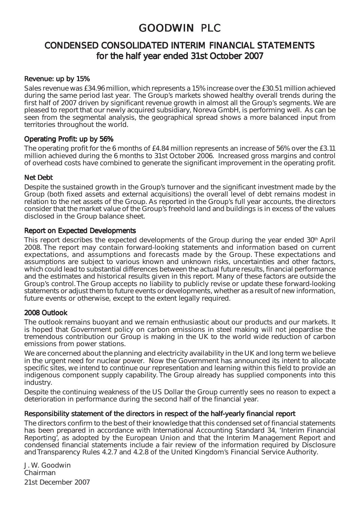### CONDENSED CONSOLIDATED INTERIM FINANCIAL STATEMENTS for the half year ended 31st October 2007

#### Revenue: up by 15%

Sales revenue was £34.96 million, which represents a 15% increase over the £30.51 million achieved during the same period last year. The Group's markets showed healthy overall trends during the first half of 2007 driven by significant revenue growth in almost all the Group's segments. We are pleased to report that our newly acquired subsidiary, Noreva GmbH, is performing well. As can be seen from the segmental analysis, the geographical spread shows a more balanced input from territories throughout the world.

### Operating Profit: up by 56%

The operating profit for the 6 months of £4.84 million represents an increase of 56% over the £3.11 million achieved during the 6 months to 31st October 2006. Increased gross margins and control of overhead costs have combined to generate the significant improvement in the operating profit.

### Net Debt

Despite the sustained growth in the Group's turnover and the significant investment made by the Group (both fixed assets and external acquisitions) the overall level of debt remains modest in relation to the net assets of the Group. As reported in the Group's full year accounts, the directors consider that the market value of the Group's freehold land and buildings is in excess of the values disclosed in the Group balance sheet.

### Report on Expected Developments

This report describes the expected developments of the Group during the year ended 30<sup>th</sup> April 2008. The report may contain forward-looking statements and information based on current expectations, and assumptions and forecasts made by the Group. These expectations and assumptions are subject to various known and unknown risks, uncertainties and other factors, which could lead to substantial differences between the actual future results, financial performance and the estimates and historical results given in this report. Many of these factors are outside the Group's control. The Group accepts no liability to publicly revise or update these forward-looking statements or adjust them to future events or developments, whether as a result of new information, future events or otherwise, except to the extent legally required.

### 2008 Outlook

The outlook remains buoyant and we remain enthusiastic about our products and our markets. It is hoped that Government policy on carbon emissions in steel making will not jeopardise the tremendous contribution our Group is making in the UK to the world wide reduction of carbon emissions from power stations.

We are concerned about the planning and electricity availability in the UK and long term we believe in the urgent need for nuclear power. Now the Government has announced its intent to allocate specific sites, we intend to continue our representation and learning within this field to provide an indigenous component supply capability. The Group already has supplied components into this industry.

Despite the continuing weakness of the US Dollar the Group currently sees no reason to expect a deterioration in performance during the second half of the financial year.

### Responsibility statement of the directors in respect of the half-yearly financial report

The directors confirm to the best of their knowledge that this condensed set of financial statements has been prepared in accordance with International Accounting Standard 34, 'Interim Financial Reporting', as adopted by the European Union and that the Interim Management Report and condensed financial statements include a fair review of the information required by Disclosure and Transparency Rules 4.2.7 and 4.2.8 of the United Kingdom's Financial Service Authority.

J. W. Goodwin Chairman 21st December 2007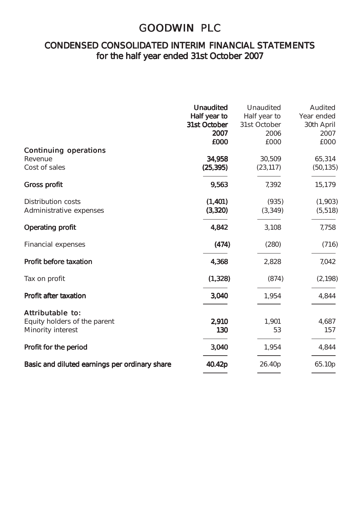### CONDENSED CONSOLIDATED INTERIM FINANCIAL STATEMENTS for the half year ended 31st October 2007

| <b>Continuing operations</b><br>Revenue<br>Cost of sales              | <b>Unaudited</b><br>Half year to<br>31st October<br>2007<br>£000<br>34,958<br>(25, 395) | Unaudited<br>Half year to<br>31st October<br>2006<br>£000<br>30,509<br>(23, 117) | Audited<br>Year ended<br>30th April<br>2007<br>£000<br>65,314<br>(50, 135) |
|-----------------------------------------------------------------------|-----------------------------------------------------------------------------------------|----------------------------------------------------------------------------------|----------------------------------------------------------------------------|
| <b>Gross profit</b>                                                   | 9,563                                                                                   | 7.392                                                                            | 15,179                                                                     |
| <b>Distribution costs</b><br>Administrative expenses                  | (1,401)<br>(3,320)                                                                      | (935)<br>(3, 349)                                                                | (1,903)<br>(5, 518)                                                        |
| <b>Operating profit</b>                                               | 4,842                                                                                   | 3,108                                                                            | 7,758                                                                      |
| Financial expenses                                                    | (474)                                                                                   | (280)                                                                            | (716)                                                                      |
| Profit before taxation                                                | 4,368                                                                                   | 2,828                                                                            | 7,042                                                                      |
| Tax on profit                                                         | (1, 328)                                                                                | (874)                                                                            | (2, 198)                                                                   |
| Profit after taxation                                                 | 3,040                                                                                   | 1,954                                                                            | 4,844                                                                      |
| Attributable to:<br>Equity holders of the parent<br>Minority interest | 2,910<br>130                                                                            | 1,901<br>53                                                                      | 4,687<br>157                                                               |
| Profit for the period                                                 | 3,040                                                                                   | 1,954                                                                            | 4,844                                                                      |
| Basic and diluted earnings per ordinary share                         | 40.42p                                                                                  | 26.40p                                                                           | 65.10p                                                                     |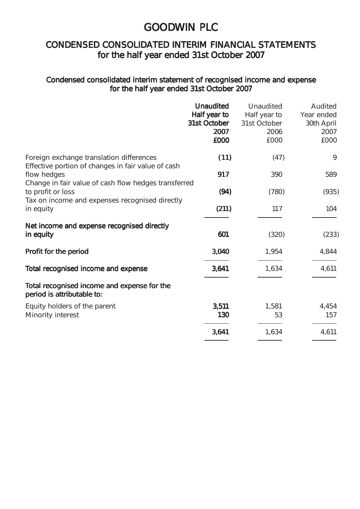## CONDENSED CONSOLIDATED INTERIM FINANCIAL STATEMENTS for the half year ended 31st October 2007

### Condensed consolidated interim statement of recognised income and expense for the half year ended 31st October 2007

|                                                                                                                             | <b>Unaudited</b><br>Half year to<br>31st October<br>2007<br>£000 | Unaudited<br>Half year to<br>31st October<br>2006<br>£000 | Audited<br>Year ended<br>30th April<br>2007<br>£000 |
|-----------------------------------------------------------------------------------------------------------------------------|------------------------------------------------------------------|-----------------------------------------------------------|-----------------------------------------------------|
| Foreign exchange translation differences<br>Effective portion of changes in fair value of cash                              | (11)                                                             | (47)                                                      | 9                                                   |
| flow hedges                                                                                                                 | 917                                                              | 390                                                       | 589                                                 |
| Change in fair value of cash flow hedges transferred<br>to profit or loss<br>Tax on income and expenses recognised directly | (94)                                                             | (780)                                                     | (935)                                               |
| in equity                                                                                                                   | (211)                                                            | 117                                                       | 104                                                 |
| Net income and expense recognised directly<br>in equity                                                                     | 601                                                              | (320)                                                     | (233)                                               |
| Profit for the period                                                                                                       | 3,040                                                            | 1,954                                                     | 4,844                                               |
| Total recognised income and expense                                                                                         | 3,641                                                            | 1,634                                                     | 4,611                                               |
| Total recognised income and expense for the<br>period is attributable to:                                                   |                                                                  |                                                           |                                                     |
| Equity holders of the parent<br>Minority interest                                                                           | 3,511                                                            | 1,581                                                     | 4,454                                               |
|                                                                                                                             | 130                                                              | 53                                                        | 157                                                 |
|                                                                                                                             | 3,641                                                            | 1,634                                                     | 4,611                                               |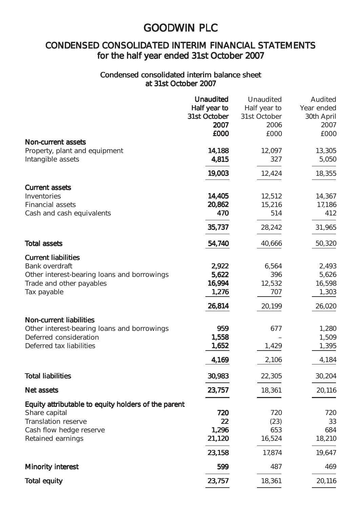## CONDENSED CONSOLIDATED INTERIM FINANCIAL STATEMENTS for the half year ended 31st October 2007

### Condensed consolidated interim balance sheet at 31st October 2007

|                                                     | <b>Unaudited</b>     | Unaudited            | Audited            |
|-----------------------------------------------------|----------------------|----------------------|--------------------|
|                                                     | Half year to         | Half year to         | Year ended         |
|                                                     | 31st October<br>2007 | 31st October<br>2006 | 30th April<br>2007 |
|                                                     | £000                 | £000                 | £000               |
| <b>Non-current assets</b>                           |                      |                      |                    |
| Property, plant and equipment                       | 14,188               | 12,097               | 13,305             |
| Intangible assets                                   | 4,815                | 327                  | 5,050              |
|                                                     |                      |                      |                    |
|                                                     | 19,003               | 12,424               | 18,355             |
| <b>Current assets</b>                               |                      |                      |                    |
| Inventories                                         | 14,405               | 12,512               | 14,367             |
| <b>Financial assets</b>                             | 20,862               | 15,216               | 17,186             |
| Cash and cash equivalents                           | 470                  | 514                  | 412                |
|                                                     | 35,737               | 28,242               | 31,965             |
| <b>Total assets</b>                                 | 54,740               | 40,666               | 50,320             |
| <b>Current liabilities</b>                          |                      |                      |                    |
| Bank overdraft                                      | 2,922                | 6,564                | 2,493              |
| Other interest-bearing loans and borrowings         | 5,622                | 396                  | 5,626              |
| Trade and other payables                            | 16,994               | 12,532               | 16,598             |
| Tax payable                                         | 1,276                | 707                  | 1,303              |
|                                                     | 26,814               | 20,199               | 26,020             |
| <b>Non-current liabilities</b>                      |                      |                      |                    |
| Other interest-bearing loans and borrowings         | 959                  | 677                  | 1,280              |
| Deferred consideration                              | 1,558                |                      | 1,509              |
| Deferred tax liabilities                            | 1,652                | 1,429                | 1,395              |
|                                                     | 4,169                | 2,106                | 4,184              |
| <b>Total liabilities</b>                            | 30,983               | 22,305               | 30,204             |
| <b>Net assets</b>                                   | 23,757               | 18,361               | 20,116             |
| Equity attributable to equity holders of the parent |                      |                      |                    |
| Share capital                                       | 720                  | 720                  | 720                |
| <b>Translation reserve</b>                          | 22                   | (23)                 | 33                 |
| Cash flow hedge reserve                             | 1,296                | 653                  | 684                |
| Retained earnings                                   | 21,120               | 16,524               | 18,210             |
|                                                     | 23,158               | 17,874               | 19,647             |
| <b>Minority interest</b>                            | 599                  | 487                  | 469                |
| Total equity                                        | 23,757               | 18,361               | 20,116             |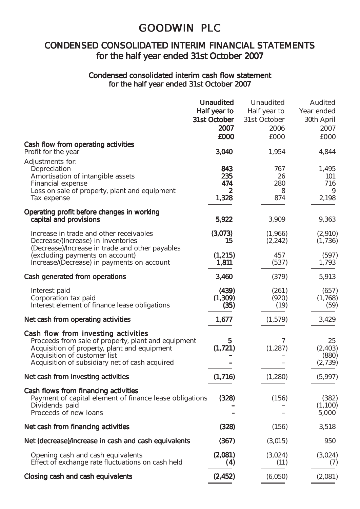### CONDENSED CONSOLIDATED INTERIM FINANCIAL STATEMENTS for the half year ended 31st October 2007

### Condensed consolidated interim cash flow statement for the half year ended 31st October 2007

|                                                                               | <b>Unaudited</b>  | Unaudited    | Audited        |
|-------------------------------------------------------------------------------|-------------------|--------------|----------------|
|                                                                               | Half year to      | Half year to | Year ended     |
|                                                                               | 31st October      | 31st October | 30th April     |
|                                                                               | 2007              | 2006         | 2007           |
|                                                                               | £000              | £000         | £000           |
| Cash flow from operating activities<br>Profit for the year                    | 3,040             | 1,954        | 4,844          |
| Adjustments for:                                                              |                   |              |                |
| Depreciation                                                                  | 843               | 767          | 1,495          |
| Amortisation of intangible assets                                             | 235<br>474        | 26<br>280    | 101<br>716     |
| Financial expense<br>Loss on sale of property, plant and equipment            | 2                 | 8            | 9              |
| Tax expense                                                                   | 1,328             | 874          | 2,198          |
| Operating profit before changes in working                                    |                   |              |                |
| capital and provisions                                                        | 5,922             | 3,909        | 9,363          |
| Increase in trade and other receivables                                       | (3,073)           | (1,966)      | (2,910)        |
| Decrease/(Increase) in inventories                                            | 15                | (2, 242)     | (1, 736)       |
| (Decrease)/Increase in trade and other payables                               |                   | 457          |                |
| (excluding payments on account)<br>Increase/(Decrease) in payments on account | (1, 215)<br>1,811 | (537)        | (597)<br>1,793 |
|                                                                               |                   |              |                |
| Cash generated from operations                                                | 3,460             | (379)        | 5,913          |
| Interest paid                                                                 | (439)             | (261)        | (657)          |
| Corporation tax paid                                                          | (1,309)           | (920)        | (1,768)        |
| Interest element of finance lease obligations                                 | (35)              | (19)         | (59)           |
| Net cash from operating activities                                            | 1,677             | (1,579)      | 3,429          |
| Cash flow from investing activities                                           |                   |              |                |
| Proceeds from sale of property, plant and equipment                           | 5                 | 7            | 25             |
| Acquisition of property, plant and equipment                                  | (1,721)           | (1, 287)     | (2, 403)       |
| Acquisition of customer list                                                  |                   |              | (880)          |
| Acquisition of subsidiary net of cash acquired                                |                   |              | (2,739)        |
| Net cash from investing activities                                            | (1,716)           | (1,280)      | (5,997)        |
| Cash flows from financing activities                                          |                   |              |                |
| Payment of capital element of finance lease obligations                       | (328)             | (156)        | (382)          |
| Dividends paid                                                                |                   |              | (1,100)        |
| Proceeds of new loans                                                         |                   | -            | 5,000          |
| Net cash from financing activities                                            | (328)             | (156)        | 3,518          |
| Net (decrease)/increase in cash and cash equivalents                          | (367)             | (3,015)      | 950            |
| Opening cash and cash equivalents                                             | (2,081)           | (3,024)      | (3,024)        |
| Effect of exchange rate fluctuations on cash held                             |                   | (11)         | (7)            |
|                                                                               | (4)               |              |                |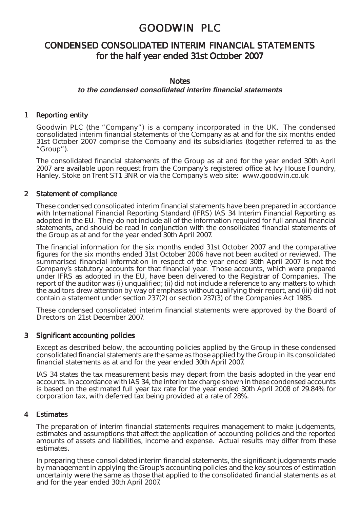### CONDENSED CONSOLIDATED INTERIM FINANCIAL STATEMENTS for the half year ended 31st October 2007

#### **Notes**

### **to the condensed consolidated interim financial statements**

### 1 Reporting entity

Goodwin PLC (the "Company") is a company incorporated in the UK. The condensed consolidated interim financial statements of the Company as at and for the six months ended 31st October 2007 comprise the Company and its subsidiaries (together referred to as the "Group").

The consolidated financial statements of the Group as at and for the year ended 30th April 2007 are available upon request from the Company's registered office at Ivy House Foundry, Hanley, Stoke on Trent ST1 3NR or via the Company's web site: www.goodwin.co.uk

#### 2 Statement of compliance

These condensed consolidated interim financial statements have been prepared in accordance with International Financial Reporting Standard (IFRS) IAS 34 Interim Financial Reporting as adopted in the EU. They do not include all of the information required for full annual financial statements, and should be read in conjunction with the consolidated financial statements of the Group as at and for the year ended 30th April 2007.

The financial information for the six months ended 31st October 2007 and the comparative figures for the six months ended 31st October 2006 have not been audited or reviewed. The summarised financial information in respect of the year ended 30th April 2007 is not the Company's statutory accounts for that financial year. Those accounts, which were prepared under IFRS as adopted in the EU, have been delivered to the Registrar of Companies. The report of the auditor was (i) unqualified; (ii) did not include a reference to any matters to which the auditors drew attention by way of emphasis without qualifying their report, and (iii) did not contain a statement under section 237(2) or section 237(3) of the Companies Act 1985.

These condensed consolidated interim financial statements were approved by the Board of Directors on 21st December 2007.

#### 3 Significant accounting policies

Except as described below, the accounting policies applied by the Group in these condensed consolidated financial statements are the same as those applied by the Group in its consolidated financial statements as at and for the year ended 30th April 2007.

IAS 34 states the tax measurement basis may depart from the basis adopted in the year end accounts. In accordance with IAS 34, the interim tax charge shown in these condensed accounts is based on the estimated full year tax rate for the year ended 30th April 2008 of 29.84% for corporation tax, with deferred tax being provided at a rate of 28%.

#### **Estimates**

The preparation of interim financial statements requires management to make judgements, estimates and assumptions that affect the application of accounting policies and the reported amounts of assets and liabilities, income and expense. Actual results may differ from these estimates.

In preparing these consolidated interim financial statements, the significant judgements made by management in applying the Group's accounting policies and the key sources of estimation uncertainty were the same as those that applied to the consolidated financial statements as at and for the year ended 30th April 2007.